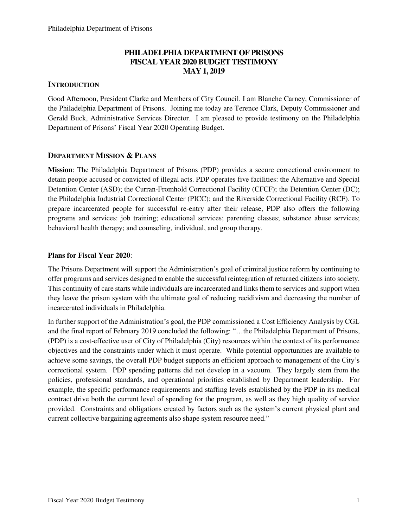## **PHILADELPHIA DEPARTMENT OF PRISONS FISCAL YEAR 2020 BUDGET TESTIMONY MAY 1, 2019**

## **INTRODUCTION**

Good Afternoon, President Clarke and Members of City Council. I am Blanche Carney, Commissioner of the Philadelphia Department of Prisons. Joining me today are Terence Clark, Deputy Commissioner and Gerald Buck, Administrative Services Director. I am pleased to provide testimony on the Philadelphia Department of Prisons' Fiscal Year 2020 Operating Budget.

## **DEPARTMENT MISSION & PLANS**

**Mission**: The Philadelphia Department of Prisons (PDP) provides a secure correctional environment to detain people accused or convicted of illegal acts. PDP operates five facilities: the Alternative and Special Detention Center (ASD); the Curran-Fromhold Correctional Facility (CFCF); the Detention Center (DC); the Philadelphia Industrial Correctional Center (PICC); and the Riverside Correctional Facility (RCF). To prepare incarcerated people for successful re-entry after their release, PDP also offers the following programs and services: job training; educational services; parenting classes; substance abuse services; behavioral health therapy; and counseling, individual, and group therapy.

## **Plans for Fiscal Year 2020**:

The Prisons Department will support the Administration's goal of criminal justice reform by continuing to offer programs and services designed to enable the successful reintegration of returned citizens into society. This continuity of care starts while individuals are incarcerated and links them to services and support when they leave the prison system with the ultimate goal of reducing recidivism and decreasing the number of incarcerated individuals in Philadelphia.

In further support of the Administration's goal, the PDP commissioned a Cost Efficiency Analysis by CGL and the final report of February 2019 concluded the following: "…the Philadelphia Department of Prisons, (PDP) is a cost-effective user of City of Philadelphia (City) resources within the context of its performance objectives and the constraints under which it must operate. While potential opportunities are available to achieve some savings, the overall PDP budget supports an efficient approach to management of the City's correctional system. PDP spending patterns did not develop in a vacuum. They largely stem from the policies, professional standards, and operational priorities established by Department leadership. For example, the specific performance requirements and staffing levels established by the PDP in its medical contract drive both the current level of spending for the program, as well as they high quality of service provided. Constraints and obligations created by factors such as the system's current physical plant and current collective bargaining agreements also shape system resource need."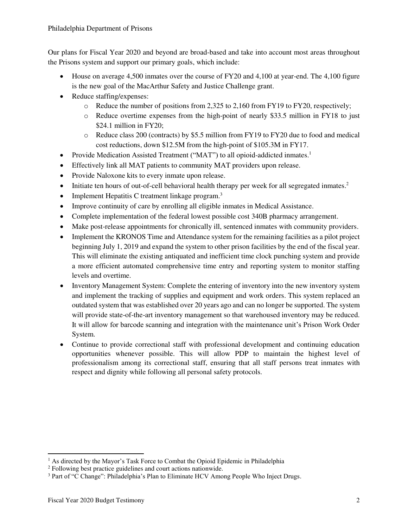Our plans for Fiscal Year 2020 and beyond are broad-based and take into account most areas throughout the Prisons system and support our primary goals, which include:

- House on average 4,500 inmates over the course of FY20 and 4,100 at year-end. The 4,100 figure is the new goal of the MacArthur Safety and Justice Challenge grant.
- Reduce staffing/expenses:
	- $\circ$  Reduce the number of positions from 2,325 to 2,160 from FY19 to FY20, respectively;
	- o Reduce overtime expenses from the high-point of nearly \$33.5 million in FY18 to just \$24.1 million in FY20;
	- $\circ$  Reduce class 200 (contracts) by \$5.5 million from FY19 to FY20 due to food and medical cost reductions, down \$12.5M from the high-point of \$105.3M in FY17.
- Provide Medication Assisted Treatment ("MAT") to all opioid-addicted inmates.<sup>1</sup>
- Effectively link all MAT patients to community MAT providers upon release.
- Provide Naloxone kits to every inmate upon release.
- Initiate ten hours of out-of-cell behavioral health therapy per week for all segregated inmates.<sup>2</sup>
- Implement Hepatitis C treatment linkage program.<sup>3</sup>
- Improve continuity of care by enrolling all eligible inmates in Medical Assistance.
- Complete implementation of the federal lowest possible cost 340B pharmacy arrangement.
- Make post-release appointments for chronically ill, sentenced inmates with community providers.
- Implement the KRONOS Time and Attendance system for the remaining facilities as a pilot project beginning July 1, 2019 and expand the system to other prison facilities by the end of the fiscal year. This will eliminate the existing antiquated and inefficient time clock punching system and provide a more efficient automated comprehensive time entry and reporting system to monitor staffing levels and overtime.
- Inventory Management System: Complete the entering of inventory into the new inventory system and implement the tracking of supplies and equipment and work orders. This system replaced an outdated system that was established over 20 years ago and can no longer be supported. The system will provide state-of-the-art inventory management so that warehoused inventory may be reduced. It will allow for barcode scanning and integration with the maintenance unit's Prison Work Order System.
- Continue to provide correctional staff with professional development and continuing education opportunities whenever possible. This will allow PDP to maintain the highest level of professionalism among its correctional staff, ensuring that all staff persons treat inmates with respect and dignity while following all personal safety protocols.

 $\overline{a}$ 

<sup>&</sup>lt;sup>1</sup> As directed by the Mayor's Task Force to Combat the Opioid Epidemic in Philadelphia

<sup>&</sup>lt;sup>2</sup> Following best practice guidelines and court actions nationwide.

<sup>3</sup> Part of "C Change": Philadelphia's Plan to Eliminate HCV Among People Who Inject Drugs.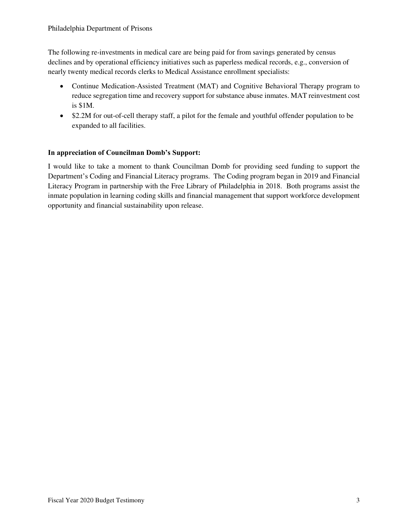The following re-investments in medical care are being paid for from savings generated by census declines and by operational efficiency initiatives such as paperless medical records, e.g., conversion of nearly twenty medical records clerks to Medical Assistance enrollment specialists:

- Continue Medication-Assisted Treatment (MAT) and Cognitive Behavioral Therapy program to reduce segregation time and recovery support for substance abuse inmates. MAT reinvestment cost is \$1M.
- \$2.2M for out-of-cell therapy staff, a pilot for the female and youthful offender population to be expanded to all facilities.

## **In appreciation of Councilman Domb's Support:**

I would like to take a moment to thank Councilman Domb for providing seed funding to support the Department's Coding and Financial Literacy programs. The Coding program began in 2019 and Financial Literacy Program in partnership with the Free Library of Philadelphia in 2018. Both programs assist the inmate population in learning coding skills and financial management that support workforce development opportunity and financial sustainability upon release.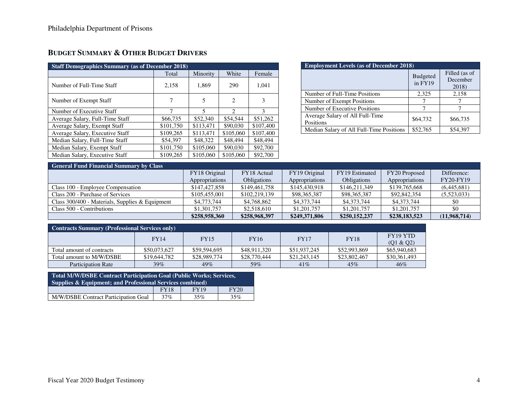# **BUDGET SUMMARY & OTHER BUDGET DRIVERS**

| <b>Staff Demographics Summary (as of December 2018)</b> |           |           |                             |           |  |  |  |  |  |
|---------------------------------------------------------|-----------|-----------|-----------------------------|-----------|--|--|--|--|--|
|                                                         | Total     | Minority  | White                       | Female    |  |  |  |  |  |
| Number of Full-Time Staff                               | 2,158     | 1,869     | 290                         | 1,041     |  |  |  |  |  |
| Number of Exempt Staff                                  |           | 5         | 2                           | 3         |  |  |  |  |  |
| Number of Executive Staff                               | 7         | 5         | $\mathcal{D}_{\mathcal{A}}$ | 3         |  |  |  |  |  |
| Average Salary, Full-Time Staff                         | \$66,735  | \$52,340  | \$54,544                    | \$51,262  |  |  |  |  |  |
| Average Salary, Exempt Staff                            | \$101,750 | \$113.471 | \$90,030                    | \$107,400 |  |  |  |  |  |
| Average Salary, Executive Staff                         | \$109,265 | \$113,471 | \$105,060                   | \$107,400 |  |  |  |  |  |
| Median Salary, Full-Time Staff                          | \$54,397  | \$48,322  | \$48,494                    | \$48,494  |  |  |  |  |  |
| Median Salary, Exempt Staff                             | \$101,750 | \$105,060 | \$90,030                    | \$92,700  |  |  |  |  |  |
| Median Salary, Executive Staff                          | \$109,265 | \$105,060 | \$105,060                   | \$92,700  |  |  |  |  |  |

| <b>Employment Levels (as of December 2018)</b> |                            |                                    |  |  |  |  |  |
|------------------------------------------------|----------------------------|------------------------------------|--|--|--|--|--|
|                                                | <b>Budgeted</b><br>in FY19 | Filled (as of<br>December<br>2018) |  |  |  |  |  |
| Number of Full-Time Positions                  | 2,325                      | 2,158                              |  |  |  |  |  |
| Number of Exempt Positions                     |                            |                                    |  |  |  |  |  |
| Number of Executive Positions                  |                            |                                    |  |  |  |  |  |
| Average Salary of All Full-Time<br>Positions   | \$64,732                   | \$66,735                           |  |  |  |  |  |
| Median Salary of All Full-Time Positions       | \$52,765                   | \$54.397                           |  |  |  |  |  |

#### **General Fund Financial Summary by Class**

| Ocheran I ama I manchai Danmary by Chabb          |                |                    |                |                    |                |                  |  |  |  |
|---------------------------------------------------|----------------|--------------------|----------------|--------------------|----------------|------------------|--|--|--|
|                                                   | FY18 Original  | FY18 Actual        | FY19 Original  | FY19 Estimated     | FY20 Proposed  | Difference:      |  |  |  |
|                                                   | Appropriations | <b>Obligations</b> | Appropriations | <b>Obligations</b> | Appropriations | <b>FY20-FY19</b> |  |  |  |
| Class 100 - Employee Compensation                 | \$147,427,858  | \$149,461,758      | \$145,430,918  | \$146,211,349      | \$139,765,668  | (6.445.681)      |  |  |  |
| Class 200 - Purchase of Services                  | \$105,455,001  | \$102,219,139      | \$98,365,387   | \$98,365,387       | \$92,842,354   | (5,523,033)      |  |  |  |
| Class $300/400$ - Materials, Supplies & Equipment | \$4,773,744    | \$4,768,862        | \$4,373,744    | \$4,373,744        | \$4,373,744    | \$0              |  |  |  |
| Class 500 - Contributions                         | \$1,301,757    | \$2,518,610        | \$1,201,757    | \$1,201,757        | \$1,201,757    |                  |  |  |  |
|                                                   | \$258,958,360  | \$258,968,397      | \$249,371,806  | \$250,152,237      | \$238,183,523  | (11,968,714)     |  |  |  |

| <b>Contracts Summary (Professional Services only)</b> |              |              |              |              |              |                       |  |  |  |
|-------------------------------------------------------|--------------|--------------|--------------|--------------|--------------|-----------------------|--|--|--|
|                                                       | <b>FY14</b>  | <b>FY15</b>  | <b>FY16</b>  | <b>FY17</b>  | <b>FY18</b>  | FY19 YTD<br>(Q1 & Q2) |  |  |  |
| Total amount of contracts                             | \$50,073,627 | \$59,594,695 | \$48,911,320 | \$51,937,245 | \$52,993,869 | \$65,940,683          |  |  |  |
| Total amount to M/W/DSBE                              | \$19,644,782 | \$28,989,774 | \$28,770,444 | \$21,243,145 | \$23,802,467 | \$30,361,493          |  |  |  |
| <b>Participation Rate</b>                             | 39%          | 49%          | 59%          | 41%          | 45%          | 46%                   |  |  |  |

| <b>Total M/W/DSBE Contract Participation Goal (Public Works; Services,</b><br>Supplies & Equipment; and Professional Services combined) |             |             |             |  |  |  |  |  |
|-----------------------------------------------------------------------------------------------------------------------------------------|-------------|-------------|-------------|--|--|--|--|--|
|                                                                                                                                         | <b>FY18</b> | <b>FY19</b> | <b>FY20</b> |  |  |  |  |  |
| M/W/DSBE Contract Participation Goal                                                                                                    | 37%         | 35%         | 35%         |  |  |  |  |  |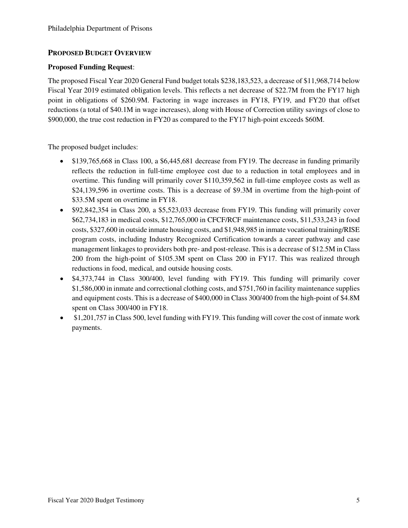## **PROPOSED BUDGET OVERVIEW**

## **Proposed Funding Request**:

The proposed Fiscal Year 2020 General Fund budget totals \$238,183,523, a decrease of \$11,968,714 below Fiscal Year 2019 estimated obligation levels. This reflects a net decrease of \$22.7M from the FY17 high point in obligations of \$260.9M. Factoring in wage increases in FY18, FY19, and FY20 that offset reductions (a total of \$40.1M in wage increases), along with House of Correction utility savings of close to \$900,000, the true cost reduction in FY20 as compared to the FY17 high-point exceeds \$60M.

The proposed budget includes:

- \$139,765,668 in Class 100, a \$6,445,681 decrease from FY19. The decrease in funding primarily reflects the reduction in full-time employee cost due to a reduction in total employees and in overtime. This funding will primarily cover \$110,359,562 in full-time employee costs as well as \$24,139,596 in overtime costs. This is a decrease of \$9.3M in overtime from the high-point of \$33.5M spent on overtime in FY18.
- \$92,842,354 in Class 200, a \$5,523,033 decrease from FY19. This funding will primarily cover \$62,734,183 in medical costs, \$12,765,000 in CFCF/RCF maintenance costs, \$11,533,243 in food costs, \$327,600 in outside inmate housing costs, and \$1,948,985 in inmate vocational training/RISE program costs, including Industry Recognized Certification towards a career pathway and case management linkages to providers both pre- and post-release. This is a decrease of \$12.5M in Class 200 from the high-point of \$105.3M spent on Class 200 in FY17. This was realized through reductions in food, medical, and outside housing costs.
- \$4,373,744 in Class 300/400, level funding with FY19. This funding will primarily cover \$1,586,000 in inmate and correctional clothing costs, and \$751,760 in facility maintenance supplies and equipment costs. This is a decrease of \$400,000 in Class 300/400 from the high-point of \$4.8M spent on Class 300/400 in FY18.
- \$1,201,757 in Class 500, level funding with FY19. This funding will cover the cost of inmate work payments.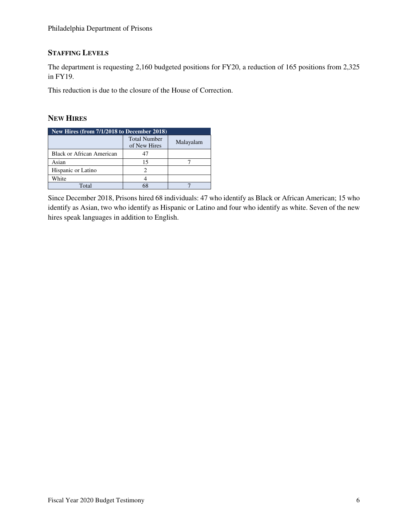## **STAFFING LEVELS**

The department is requesting 2,160 budgeted positions for FY20, a reduction of 165 positions from 2,325 in FY19.

This reduction is due to the closure of the House of Correction.

## **NEW HIRES**

| New Hires (from 7/1/2018 to December 2018) |                                     |           |  |  |  |  |  |  |
|--------------------------------------------|-------------------------------------|-----------|--|--|--|--|--|--|
|                                            | <b>Total Number</b><br>of New Hires | Malayalam |  |  |  |  |  |  |
| <b>Black or African American</b>           | 47                                  |           |  |  |  |  |  |  |
| Asian                                      | 15                                  |           |  |  |  |  |  |  |
| Hispanic or Latino                         |                                     |           |  |  |  |  |  |  |
| White                                      |                                     |           |  |  |  |  |  |  |
| Total                                      |                                     |           |  |  |  |  |  |  |

Since December 2018, Prisons hired 68 individuals: 47 who identify as Black or African American; 15 who identify as Asian, two who identify as Hispanic or Latino and four who identify as white. Seven of the new hires speak languages in addition to English.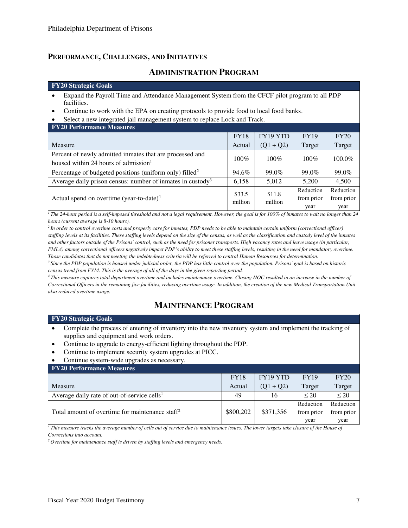## **PERFORMANCE, CHALLENGES, AND INITIATIVES**

## **ADMINISTRATION PROGRAM**

#### **FY20 Strategic Goals**

- Expand the Payroll Time and Attendance Management System from the CFCF pilot program to all PDP facilities.
- Continue to work with the EPA on creating protocols to provide food to local food banks.
- Select a new integrated jail management system to replace Lock and Track.

#### **FY20 Performance Measures**

|                                                                                                              | <b>FY18</b> | FY19 YTD          | <b>FY19</b>                     | FY20                            |
|--------------------------------------------------------------------------------------------------------------|-------------|-------------------|---------------------------------|---------------------------------|
| Measure                                                                                                      | Actual      | $(Q1 + Q2)$       | Target                          | Target                          |
| Percent of newly admitted inmates that are processed and<br>housed within 24 hours of admission <sup>1</sup> | 100%        | $100\%$           | $100\%$                         | 100.0%                          |
| Percentage of budgeted positions (uniform only) filled <sup>2</sup>                                          | 94.6%       | 99.0%             | 99.0%                           | 99.0%                           |
| Average daily prison census: number of inmates in custody <sup>3</sup>                                       | 6,158       | 5,012             | 5.200                           | 4.500                           |
| Actual spend on overtime (year-to-date) $4$                                                                  |             | \$11.8<br>million | Reduction<br>from prior<br>year | Reduction<br>from prior<br>year |

<sup>*1</sup>The 24-hour period is a self-imposed threshold and not a legal requirement. However, the goal is for 100% of inmates to wait no longer than 24</sup> hours (current average is 8-10 hours).* 

*<sup>2</sup>In order to control overtime costs and properly care for inmates, PDP needs to be able to maintain certain uniform (correctional officer) staffing levels at its facilities. These staffing levels depend on the size of the census, as well as the classification and custody level of the inmates and other factors outside of the Prisons' control, such as the need for prisoner transports. High vacancy rates and leave usage (in particular, FMLA*) among correctional officers negatively impact PDP's ability to meet these staffing levels, resulting in the need for mandatory overtime. *Those candidates that do not meeting the indebtedness criteria will be referred to central Human Resources for determination.* 

*<sup>3</sup>Since the PDP population is housed under judicial order, the PDP has little control over the population. Prisons' goal is based on historic census trend from FY14. This is the average of all of the days in the given reporting period.* 

*<sup>4</sup>This measure captures total department overtime and includes maintenance overtime. Closing HOC resulted in an increase in the number of Correctional Officers in the remaining five facilities, reducing overtime usage. In addition, the creation of the new Medical Transportation Unit also reduced overtime usage.*

# **MAINTENANCE PROGRAM**

#### **FY20 Strategic Goals**

- Complete the process of entering of inventory into the new inventory system and implement the tracking of supplies and equipment and work orders.
- Continue to upgrade to energy-efficient lighting throughout the PDP.
- Continue to implement security system upgrades at PICC.

#### • Continue system-wide upgrades as necessary.

| <b>FY20 Performance Measures</b>                            |             |                 |             |            |  |  |  |  |  |
|-------------------------------------------------------------|-------------|-----------------|-------------|------------|--|--|--|--|--|
|                                                             | <b>FY18</b> | <b>FY19 YTD</b> | <b>FY19</b> | FY20       |  |  |  |  |  |
| Measure                                                     | Actual      | $(Q1 + Q2)$     | Target      | Target     |  |  |  |  |  |
| Average daily rate of out-of-service cells <sup>1</sup>     | 49          | 16              | $\leq$ 20   | $\leq$ 20  |  |  |  |  |  |
|                                                             |             |                 | Reduction   | Reduction  |  |  |  |  |  |
| Total amount of overtime for maintenance staff <sup>2</sup> | \$800,202   | \$371,356       | from prior  | from prior |  |  |  |  |  |
|                                                             |             |                 | year        | year       |  |  |  |  |  |

 $\overline{I}$ This measure tracks the average number of cells out of service due to maintenance issues. The lower targets take closure of the House of *Corrections into account.* 

*2 Overtime for maintenance staff is driven by staffing levels and emergency needs.*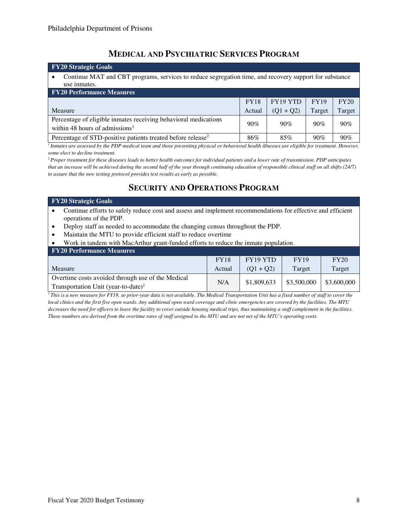# **MEDICAL AND PSYCHIATRIC SERVICES PROGRAM**

| <b>FY20 Strategic Goals</b>                                                                                            |             |             |             |        |  |  |  |  |  |
|------------------------------------------------------------------------------------------------------------------------|-------------|-------------|-------------|--------|--|--|--|--|--|
| Continue MAT and CBT programs, services to reduce segregation time, and recovery support for substance<br>use inmates. |             |             |             |        |  |  |  |  |  |
| <b>FY20 Performance Measures</b>                                                                                       |             |             |             |        |  |  |  |  |  |
|                                                                                                                        | <b>FY18</b> | FY19 YTD    | <b>FY19</b> | FY20   |  |  |  |  |  |
| Measure                                                                                                                | Actual      | $(Q1 + Q2)$ | Target      | Target |  |  |  |  |  |
| Percentage of eligible inmates receiving behavioral medications<br>within 48 hours of admissions <sup>1</sup>          | 90%         | 90%         | 90%         | 90%    |  |  |  |  |  |
| Percentage of STD-positive patients treated before release <sup>2</sup>                                                | 86%         | 85%         | 90%         | 90%    |  |  |  |  |  |

*<sup>1</sup>Inmates are assessed by the PDP medical team and those presenting physical or behavioral health illnesses are eligible for treatment. However, some elect to decline treatment.* 

*<sup>2</sup>Proper treatment for these diseases leads to better health outcomes for individual patients and a lower rate of transmission. PDP anticipates that an increase will be achieved during the second half of the year through continuing education of responsible clinical staff on all shifts (24/7) to assure that the new testing protocol provides test results as early as possible.* 

# **SECURITY AND OPERATIONS PROGRAM**

#### **FY20 Strategic Goals**

- Continue efforts to safely reduce cost and assess and implement recommendations for effective and efficient operations of the PDP.
- Deploy staff as needed to accommodate the changing census throughout the PDP.
- Maintain the MTU to provide efficient staff to reduce overtime
- Work in tandem with MacArthur grant-funded efforts to reduce the inmate population.

| <b>FY20 Performance Measures</b>                                                                     |             |             |             |             |  |  |  |  |  |
|------------------------------------------------------------------------------------------------------|-------------|-------------|-------------|-------------|--|--|--|--|--|
|                                                                                                      | <b>FY18</b> | FY19 YTD    | <b>FY19</b> | FY20        |  |  |  |  |  |
| Measure                                                                                              | Actual      | $(O1 + O2)$ | Target      | Target      |  |  |  |  |  |
| Overtime costs avoided through use of the Medical<br>Transportation Unit (year-to-date) <sup>1</sup> | N/A         | \$1,809,633 | \$3,500,000 | \$3,600,000 |  |  |  |  |  |

*<sup>1</sup>This is a new measure for FY19, so prior-year data is not available. The Medical Transportation Unit has a fixed number of staff to cover the local clinics and the first five open wards. Any additional open ward coverage and clinic emergencies are covered by the facilities. The MTU decreases the need for officers to leave the facility to cover outside housing medical trips, thus maintaining a staff complement in the facilities. These numbers are derived from the overtime rates of staff assigned to the MTU and are not net of the MTU's operating costs.*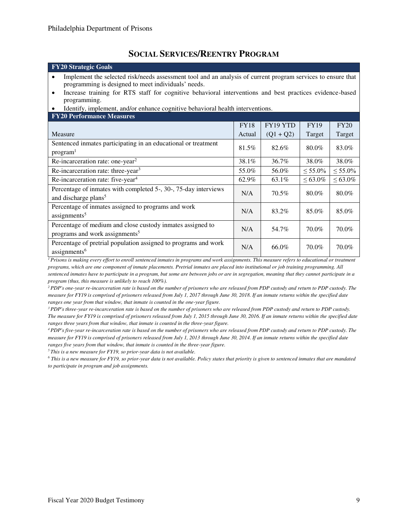## **SOCIAL SERVICES/REENTRY PROGRAM**

| <b>FY20 Strategic Goals</b>                                                                                                                                                                                                                                                                                                                                                                    |             |             |               |               |  |  |  |  |
|------------------------------------------------------------------------------------------------------------------------------------------------------------------------------------------------------------------------------------------------------------------------------------------------------------------------------------------------------------------------------------------------|-------------|-------------|---------------|---------------|--|--|--|--|
| Implement the selected risk/needs assessment tool and an analysis of current program services to ensure that<br>programming is designed to meet individuals' needs.<br>Increase training for RTS staff for cognitive behavioral interventions and best practices evidence-based<br>$\bullet$<br>programming.<br>Identify, implement, and/or enhance cognitive behavioral health interventions. |             |             |               |               |  |  |  |  |
| <b>FY20 Performance Measures</b>                                                                                                                                                                                                                                                                                                                                                               |             |             |               |               |  |  |  |  |
|                                                                                                                                                                                                                                                                                                                                                                                                | <b>FY18</b> | FY19 YTD    | <b>FY19</b>   | FY20          |  |  |  |  |
| Measure                                                                                                                                                                                                                                                                                                                                                                                        | Actual      | $(Q1 + Q2)$ | Target        | Target        |  |  |  |  |
| Sentenced inmates participating in an educational or treatment<br>program <sup>1</sup>                                                                                                                                                                                                                                                                                                         | 81.5%       | 82.6%       | 80.0%         | 83.0%         |  |  |  |  |
| Re-incarceration rate: one-year <sup>2</sup><br>36.7%<br>38.0%<br>38.1%                                                                                                                                                                                                                                                                                                                        |             |             |               |               |  |  |  |  |
| Re-incarceration rate: three-year <sup>3</sup>                                                                                                                                                                                                                                                                                                                                                 | 55.0%       | 56.0%       | $< 55.0\%$    | $\leq 55.0\%$ |  |  |  |  |
| Re-incarceration rate: five-year <sup>4</sup>                                                                                                                                                                                                                                                                                                                                                  | 62.9%       | 63.1%       | $\leq 63.0\%$ | $\leq 63.0\%$ |  |  |  |  |
| Percentage of inmates with completed 5-, 30-, 75-day interviews<br>and discharge plans <sup>5</sup>                                                                                                                                                                                                                                                                                            | N/A         | 70.5%       | 80.0%         | 80.0%         |  |  |  |  |
| Percentage of inmates assigned to programs and work<br>assignments <sup>5</sup>                                                                                                                                                                                                                                                                                                                | N/A         | 83.2%       | 85.0%         | 85.0%         |  |  |  |  |
| Percentage of medium and close custody inmates assigned to<br>programs and work assignments <sup>5</sup>                                                                                                                                                                                                                                                                                       | N/A         | 54.7%       | 70.0%         | 70.0%         |  |  |  |  |
| Percentage of pretrial population assigned to programs and work<br>assignments <sup>6</sup>                                                                                                                                                                                                                                                                                                    | N/A         | 66.0%       | 70.0%         | 70.0%         |  |  |  |  |

<sup>1</sup>*Prisons is making every effort to enroll sentenced inmates in programs and work assignments. This measure refers to educational or treatment programs, which are one component of inmate placements. Pretrial inmates are placed into institutional or job training programming. All sentenced inmates have to participate in a program, but some are between jobs or are in segregation, meaning that they cannot participate in a program (thus, this measure is unlikely to reach 100%).* 

*<sup>2</sup>PDP's one-year re-incarceration rate is based on the number of prisoners who are released from PDP custody and return to PDP custody. The measure for FY19 is comprised of prisoners released from July 1, 2017 through June 30, 2018. If an inmate returns within the specified date ranges one year from that window, that inmate is counted in the one-year figure.* 

*<sup>3</sup>PDP's three-year re-incarceration rate is based on the number of prisoners who are released from PDP custody and return to PDP custody. The measure for FY19 is comprised of prisoners released from July 1, 2015 through June 30, 2016. If an inmate returns within the specified date ranges three years from that window, that inmate is counted in the three-year figure.* 

*<sup>4</sup>PDP's five-year re-incarceration rate is based on the number of prisoners who are released from PDP custody and return to PDP custody. The measure for FY19 is comprised of prisoners released from July 1, 2013 through June 30, 2014. If an inmate returns within the specified date ranges five years from that window, that inmate is counted in the three-year figure.* 

*<sup>5</sup>This is a new measure for FY19, so prior-year data is not available.* 

*6 This is a new measure for FY19, so prior-year data is not available. Policy states that priority is given to sentenced inmates that are mandated to participate in program and job assignments.*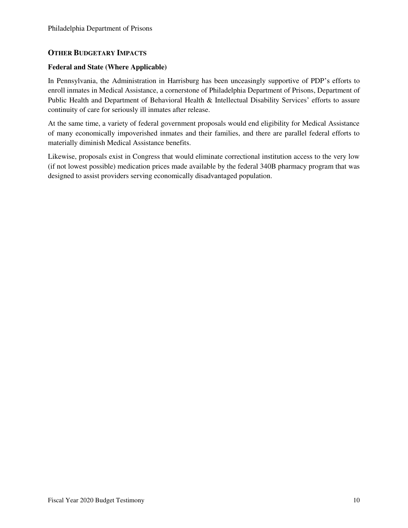## **OTHER BUDGETARY IMPACTS**

### **Federal and State (Where Applicable)**

In Pennsylvania, the Administration in Harrisburg has been unceasingly supportive of PDP's efforts to enroll inmates in Medical Assistance, a cornerstone of Philadelphia Department of Prisons, Department of Public Health and Department of Behavioral Health & Intellectual Disability Services' efforts to assure continuity of care for seriously ill inmates after release.

At the same time, a variety of federal government proposals would end eligibility for Medical Assistance of many economically impoverished inmates and their families, and there are parallel federal efforts to materially diminish Medical Assistance benefits.

Likewise, proposals exist in Congress that would eliminate correctional institution access to the very low (if not lowest possible) medication prices made available by the federal 340B pharmacy program that was designed to assist providers serving economically disadvantaged population.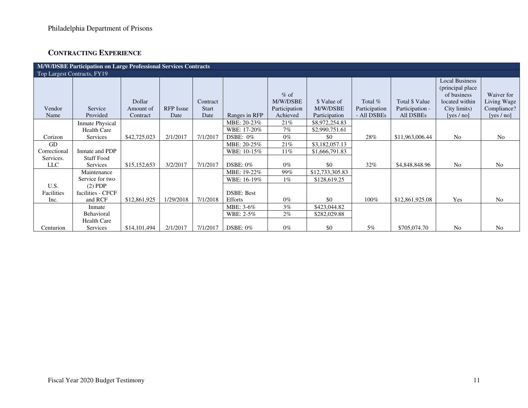# **CONTRACTING EXPERIENCE**

| M/W/DSBE Participation on Large Professional Services Contracts |                        |              |                  |              |                   |               |                 |               |                 |                                                          |                |
|-----------------------------------------------------------------|------------------------|--------------|------------------|--------------|-------------------|---------------|-----------------|---------------|-----------------|----------------------------------------------------------|----------------|
| Top Largest Contracts, FY19                                     |                        |              |                  |              |                   |               |                 |               |                 |                                                          |                |
|                                                                 |                        |              |                  |              |                   | $%$ of        |                 |               |                 | <b>Local Business</b><br>(principal place<br>of business | Waiver for     |
|                                                                 |                        | Dollar       |                  | Contract     |                   | M/W/DSBE      | \$ Value of     | Total $%$     | Total \$ Value  | located within                                           | Living Wage    |
| Vendor                                                          | Service                | Amount of    | <b>RFP</b> Issue | <b>Start</b> |                   | Participation | M/W/DSBE        | Participation | Participation - | City limits)                                             | Compliance?    |
| Name                                                            | Provided               | Contract     | Date             | Date         | Ranges in RFP     | Achieved      | Participation   | - All DSBEs   | All DSBEs       | [yes $/$ no]                                             | [yes $/$ no]   |
|                                                                 | <b>Inmate Physical</b> |              |                  |              | MBE: 20-23%       | 21%           | \$8,972,254.83  |               |                 |                                                          |                |
|                                                                 | <b>Health Care</b>     |              |                  |              | WBE: 17-20%       | 7%            | \$2,990,751.61  |               |                 |                                                          |                |
| Corizon                                                         | Services               | \$42,725,023 | 2/1/2017         | 7/1/2017     | DSBE: $0\%$       | $0\%$         | \$0             | 28%           | \$11,963,006.44 | No                                                       | No             |
| <b>GD</b>                                                       |                        |              |                  |              | MBE: 20-25%       | 21%           | \$3,182,057.13  |               |                 |                                                          |                |
| Correctional                                                    | Inmate and PDP         |              |                  |              | WBE: 10-15%       | 11%           | \$1,666,791.83  |               |                 |                                                          |                |
| Services.                                                       | <b>Staff Food</b>      |              |                  |              |                   |               |                 |               |                 |                                                          |                |
| <b>LLC</b>                                                      | Services               | \$15,152,653 | 3/2/2017         | 7/1/2017     | $DSBE: 0\%$       | $0\%$         | \$0             | 32%           | \$4,848,848.96  | N <sub>o</sub>                                           | N <sub>o</sub> |
|                                                                 | Maintenance            |              |                  |              | MBE: 19-22%       | 99%           | \$12,733,305.83 |               |                 |                                                          |                |
|                                                                 | Service for two        |              |                  |              | WBE: 16-19%       | $1\%$         | \$128,619.25    |               |                 |                                                          |                |
| U.S.                                                            | $(2)$ PDP              |              |                  |              |                   |               |                 |               |                 |                                                          |                |
| Facilities                                                      | facilities - CFCF      |              |                  |              | <b>DSBE: Best</b> |               |                 |               |                 |                                                          |                |
| Inc.                                                            | and RCF                | \$12,861,925 | 1/29/2018        | 7/1/2018     | <b>Efforts</b>    | $0\%$         | \$0             | 100%          | \$12,861,925.08 | Yes                                                      | N <sub>o</sub> |
|                                                                 | Inmate                 |              |                  |              | MBE: 3-6%         | $3\%$         | \$423,044.82    |               |                 |                                                          |                |
|                                                                 | Behavioral             |              |                  |              | WBE: 2-5%         | $2\%$         | \$282,029.88    |               |                 |                                                          |                |
|                                                                 | <b>Health Care</b>     |              |                  |              |                   |               |                 |               |                 |                                                          |                |
| Centurion                                                       | Services               | \$14,101,494 | 2/1/2017         | 7/1/2017     | DSBE: $0\%$       | $0\%$         | \$0             | 5%            | \$705,074.70    | N <sub>o</sub>                                           | N <sub>o</sub> |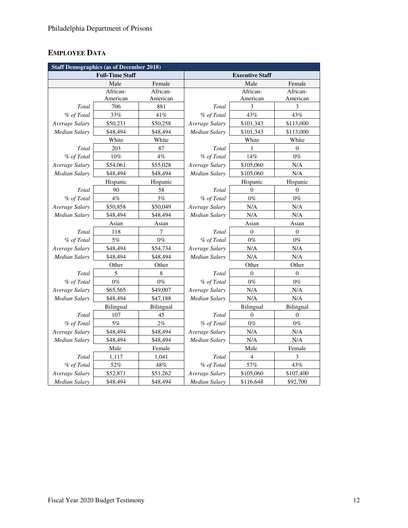# **EMPLOYEE DATA**

| <b>Staff Demographics (as of December 2018)</b> |           |           |                        |                  |                  |
|-------------------------------------------------|-----------|-----------|------------------------|------------------|------------------|
| <b>Full-Time Staff</b>                          |           |           | <b>Executive Staff</b> |                  |                  |
|                                                 | Male      | Female    |                        | Male             | Female           |
|                                                 | African-  | African-  |                        | African-         | African-         |
|                                                 | American  | American  |                        | American         | American         |
| Total                                           | 706       | 881       | Total                  | 3                | 3                |
| % of Total                                      | 33%       | 41%       | % of Total             | 43%              | 43%              |
| Average Salary                                  | \$50,231  | \$50,258  | Average Salary         | \$101,343        | \$113,000        |
| Median Salary                                   | \$48,494  | \$48,494  | Median Salary          | \$101,343        | \$113,000        |
|                                                 | White     | White     |                        | White            | White            |
| Total                                           | 203       | 87        | Total                  | 1                | $\boldsymbol{0}$ |
| % of Total                                      | $10\%$    | 4%        | % of Total             | 14%              | $0\%$            |
| Average Salary                                  | \$54,061  | \$55,028  | Average Salary         | \$105,060        | N/A              |
| <b>Median Salary</b>                            | \$48,494  | \$48,494  | <b>Median Salary</b>   | \$105,060        | N/A              |
|                                                 | Hispanic  | Hispanic  |                        | Hispanic         | Hispanic         |
| Total                                           | 90        | 58        | Total                  | $\overline{0}$   | $\overline{0}$   |
| % of Total                                      | $4\%$     | 3%        | % of Total             | $0\%$            | $0\%$            |
| Average Salary                                  | \$50,858  | \$50,049  | Average Salary         | N/A              | $\rm N/A$        |
| <b>Median Salary</b>                            | \$48,494  | \$48,494  | <b>Median Salary</b>   | N/A              | N/A              |
|                                                 | Asian     | Asian     |                        | Asian            | Asian            |
| Total                                           | 118       | 7         | Total                  | $\boldsymbol{0}$ | $\boldsymbol{0}$ |
| % of Total                                      | $5\%$     | $0\%$     | % of Total             | $0\%$            | $0\%$            |
| Average Salary                                  | \$48,494  | \$54,734  | Average Salary         | N/A              | N/A              |
| <b>Median Salary</b>                            | \$48,494  | \$48,494  | Median Salary          | N/A              | N/A              |
|                                                 | Other     | Other     |                        | Other            | Other            |
| Total                                           | 5         | 8         | Total                  | $\overline{0}$   | $\overline{0}$   |
| % of Total                                      | $0\%$     | $0\%$     | % of Total             | $0\%$            | $0\%$            |
| Average Salary                                  | \$65,565  | \$49,007  | Average Salary         | N/A              | N/A              |
| <b>Median Salary</b>                            | \$48,494  | \$47,188  | Median Salary          | N/A              | N/A              |
|                                                 | Bilingual | Bilingual |                        | Bilingual        | Bilingual        |
| Total                                           | 107       | 45        | Total                  | $\overline{0}$   | $\boldsymbol{0}$ |
| % of Total                                      | 5%        | 2%        | % of Total             | $0\%$            | $0\%$            |
| Average Salary                                  | \$48,494  | \$48,494  | Average Salary         | N/A              | N/A              |
| <b>Median Salary</b>                            | \$48,494  | \$48,494  | Median Salary          | N/A              | N/A              |
|                                                 | Male      | Female    |                        | Male             | Female           |
| Total                                           | 1,117     | 1,041     | Total                  | $\overline{4}$   | 3                |
| % of Total                                      | 52%       | $48\%$    | % of Total             | 57%              | 43%              |
| Average Salary                                  | \$52,871  | \$51,262  | Average Salary         | \$105,060        | \$107,400        |
| Median Salary                                   | \$48,494  | \$48,494  | Median Salary          | \$116,648        | \$92,700         |